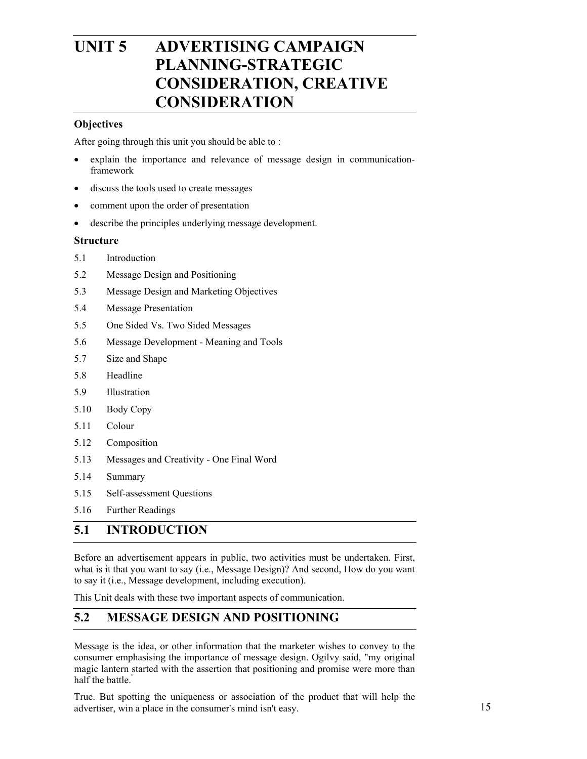# UNIT 5 ADVERTISING CAMPAIGN **PLANNING-STRATEGIC CONSIDERATION, CREATIVE CONSIDERATION**

### **Objectives**

After going through this unit you should be able to :

- explain the importance and relevance of message design in communicationframework
- discuss the tools used to create messages
- comment upon the order of presentation
- describe the principles underlying message development.

### **Structure**

- 5.1 Introduction
- 5.2 Message Design and Positioning
- 5.3 Message Design and Marketing Objectives
- 5.4 Message Presentation
- 5.5 One Sided Vs. Two Sided Messages
- 5.6 Message Development Meaning and Tools
- 5.7 Size and Shape
- 5.8 Headline
- 5.9 Illustration
- 5.10 Body Copy
- 5.11 Colour
- 5.12 Composition
- 5.13 Messages and Creativity One Final Word
- 5.14 Summary
- 5.15 Self-assessment Questions
- 5.16 Further Readings

# **5.1 INTRODUCTION**

Before an advertisement appears in public, two activities must be undertaken. First, what is it that you want to say (i.e., Message Design)? And second, How do you want to say it (i.e., Message development, including execution).

This Unit deals with these two important aspects of communication.

# **5.2 MESSAGE DESIGN AND POSITIONING**

Message is the idea, or other information that the marketer wishes to convey to the consumer emphasising the importance of message design. Ogilvy said, "my original magic lantern started with the assertion that positioning and promise were more than half the battle."

True. But spotting the uniqueness or association of the product that will help the advertiser, win a place in the consumer's mind isn't easy.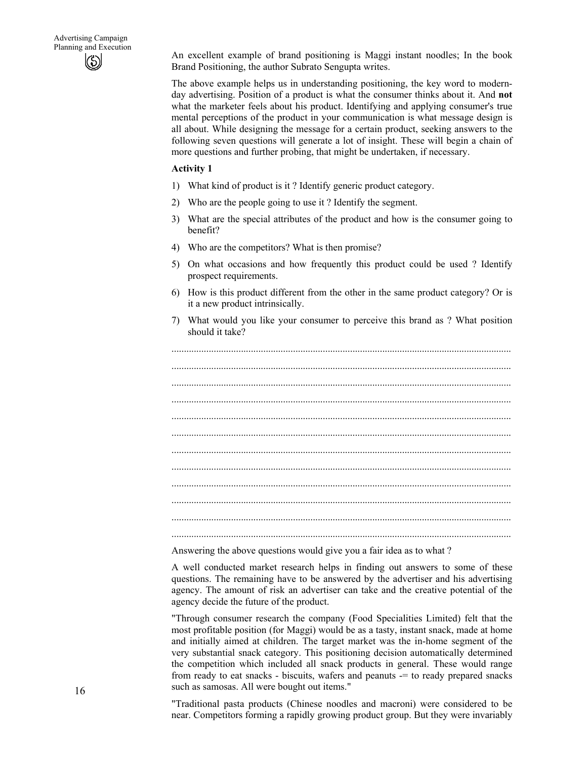An excellent example of brand positioning is Maggi instant noodles; In the book Brand Positioning, the author Subrato Sengupta writes.

The above example helps us in understanding positioning, the key word to modernday advertising. Position of a product is what the consumer thinks about it. And **not**  what the marketer feels about his product. Identifying and applying consumer's true mental perceptions of the product in your communication is what message design is all about. While designing the message for a certain product, seeking answers to the following seven questions will generate a lot of insight. These will begin a chain of more questions and further probing, that might be undertaken, if necessary.

#### **Activity 1**

- 1) What kind of product is it ? Identify generic product category.
- 2) Who are the people going to use it ? Identify the segment.
- 3) What are the special attributes of the product and how is the consumer going to benefit?
- 4) Who are the competitors? What is then promise?
- 5) On what occasions and how frequently this product could be used ? Identify prospect requirements.
- 6) How is this product different from the other in the same product category? Or is it a new product intrinsically.
- 7) What would you like your consumer to perceive this brand as ? What position should it take?

......................................................................................................................................... ......................................................................................................................................... ......................................................................................................................................... ......................................................................................................................................... ......................................................................................................................................... ......................................................................................................................................... ......................................................................................................................................... ......................................................................................................................................... ......................................................................................................................................... ......................................................................................................................................... ......................................................................................................................................... .........................................................................................................................................

Answering the above questions would give you a fair idea as to what ?

A well conducted market research helps in finding out answers to some of these questions. The remaining have to be answered by the advertiser and his advertising agency. The amount of risk an advertiser can take and the creative potential of the agency decide the future of the product.

"Through consumer research the company (Food Specialities Limited) felt that the most profitable position (for Maggi) would be as a tasty, instant snack, made at home and initially aimed at children. The target market was the in-home segment of the very substantial snack category. This positioning decision automatically determined the competition which included all snack products in general. These would range from ready to eat snacks - biscuits, wafers and peanuts -= to ready prepared snacks such as samosas. All were bought out items."

"Traditional pasta products (Chinese noodles and macroni) were considered to be near. Competitors forming a rapidly growing product group. But they were invariably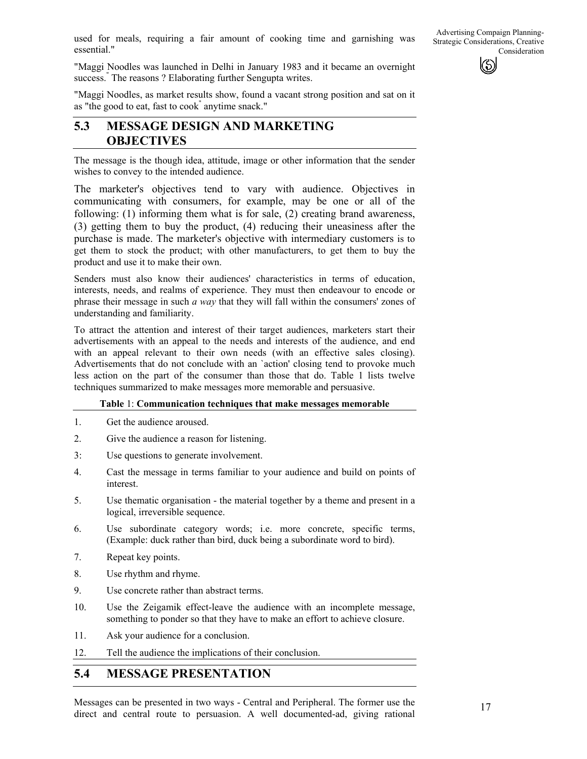used for meals, requiring a fair amount of cooking time and garnishing was essential."

Advertising Compaign Planning-Strategic Considerations, Creative Consideration

"Maggi Noodles was launched in Delhi in January 1983 and it became an overnight success." The reasons ? Elaborating further Sengupta writes.

"Maggi Noodles, as market results show, found a vacant strong position and sat on it as "the good to eat, fast to cook" anytime snack."

# **5.3 MESSAGE DESIGN AND MARKETING OBJECTIVES**

The message is the though idea, attitude, image or other information that the sender wishes to convey to the intended audience.

The marketer's objectives tend to vary with audience. Objectives in communicating with consumers, for example, may be one or all of the following: (1) informing them what is for sale, (2) creating brand awareness, (3) getting them to buy the product, (4) reducing their uneasiness after the purchase is made. The marketer's objective with intermediary customers is to get them to stock the product; with other manufacturers, to get them to buy the product and use it to make their own.

Senders must also know their audiences' characteristics in terms of education, interests, needs, and realms of experience. They must then endeavour to encode or phrase their message in such *a way* that they will fall within the consumers' zones of understanding and familiarity.

To attract the attention and interest of their target audiences, marketers start their advertisements with an appeal to the needs and interests of the audience, and end with an appeal relevant to their own needs (with an effective sales closing). Advertisements that do not conclude with an `action' closing tend to provoke much less action on the part of the consumer than those that do. Table 1 lists twelve techniques summarized to make messages more memorable and persuasive.

### **Table** 1: **Communication techniques that make messages memorable**

- 1. Get the audience aroused.
- 2. Give the audience a reason for listening.
- 3: Use questions to generate involvement.
- 4. Cast the message in terms familiar to your audience and build on points of interest.
- 5. Use thematic organisation the material together by a theme and present in a logical, irreversible sequence.
- 6. Use subordinate category words; i.e. more concrete, specific terms, (Example: duck rather than bird, duck being a subordinate word to bird).
- 7. Repeat key points.
- 8. Use rhythm and rhyme.
- 9. Use concrete rather than abstract terms.
- 10. Use the Zeigamik effect-leave the audience with an incomplete message, something to ponder so that they have to make an effort to achieve closure.
- 11. Ask your audience for a conclusion.
- 12. Tell the audience the implications of their conclusion.

### **5.4 MESSAGE PRESENTATION**

Messages can be presented in two ways - Central and Peripheral. The former use the direct and central route to persuasion. A well documented-ad, giving rational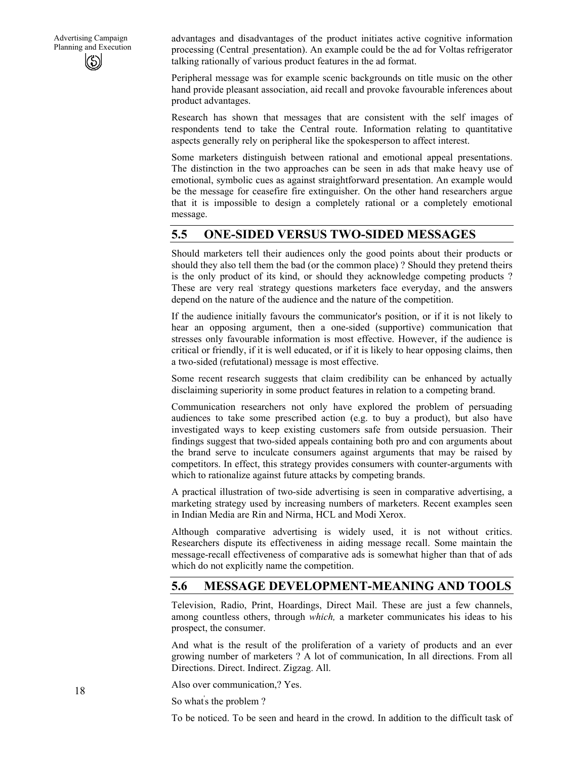advantages and disadvantages of the product initiates active cognitive information processing (Central presentation). An example could be the ad for Voltas refrigerator talking rationally of various product features in the ad format.

Peripheral message was for example scenic backgrounds on title music on the other hand provide pleasant association, aid recall and provoke favourable inferences about product advantages.

Research has shown that messages that are consistent with the self images of respondents tend to take the Central route. Information relating to quantitative aspects generally rely on peripheral like the spokesperson to affect interest.

Some marketers distinguish between rational and emotional appeal presentations. The distinction in the two approaches can be seen in ads that make heavy use of emotional, symbolic cues as against straightforward presentation. An example would be the message for ceasefire fire extinguisher. On the other hand researchers argue that it is impossible to design a completely rational or a completely emotional message.

### **5.5 ONE-SIDED VERSUS TWO-SIDED MESSAGES**

Should marketers tell their audiences only the good points about their products or should they also tell them the bad (or the common place) ? Should they pretend theirs is the only product of its kind, or should they acknowledge competing products ? These are very real strategy questions marketers face everyday, and the answers depend on the nature of the audience and the nature of the competition.

If the audience initially favours the communicator's position, or if it is not likely to hear an opposing argument, then a one-sided (supportive) communication that stresses only favourable information is most effective. However, if the audience is critical or friendly, if it is well educated, or if it is likely to hear opposing claims, then a two-sided (refutational) message is most effective.

Some recent research suggests that claim credibility can be enhanced by actually disclaiming superiority in some product features in relation to a competing brand.

Communication researchers not only have explored the problem of persuading audiences to take some prescribed action (e.g. to buy a product), but also have investigated ways to keep existing customers safe from outside persuasion. Their findings suggest that two-sided appeals containing both pro and con arguments about the brand serve to inculcate consumers against arguments that may be raised by competitors. In effect, this strategy provides consumers with counter-arguments with which to rationalize against future attacks by competing brands.

A practical illustration of two-side advertising is seen in comparative advertising, a marketing strategy used by increasing numbers of marketers. Recent examples seen in Indian Media are Rin and Nirma, HCL and Modi Xerox.

Although comparative advertising is widely used, it is not without critics. Researchers dispute its effectiveness in aiding message recall. Some maintain the message-recall effectiveness of comparative ads is somewhat higher than that of ads which do not explicitly name the competition.

### **5.6 MESSAGE DEVELOPMENT-MEANING AND TOOLS**

Television, Radio, Print, Hoardings, Direct Mail. These are just a few channels, among countless others, through *which,* a marketer communicates his ideas to his prospect, the consumer.

And what is the result of the proliferation of a variety of products and an ever growing number of marketers ? A lot of communication, In all directions. From all Directions. Direct. Indirect. Zigzag. All.

Also over communication,? Yes.

So what's the problem?

To be noticed. To be seen and heard in the crowd. In addition to the difficult task of

18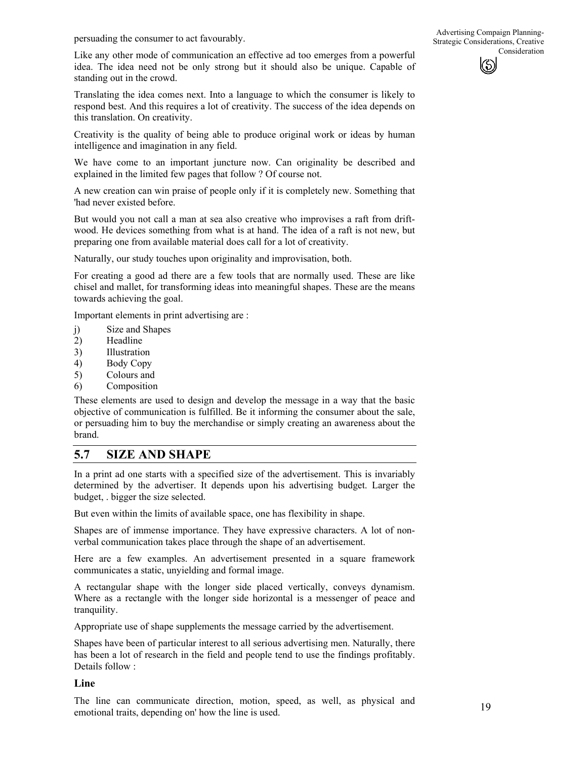persuading the consumer to act favourably.

Like any other mode of communication an effective ad too emerges from a powerful idea. The idea need not be only strong but it should also be unique. Capable of standing out in the crowd.

Translating the idea comes next. Into a language to which the consumer is likely to respond best. And this requires a lot of creativity. The success of the idea depends on this translation. On creativity.

Creativity is the quality of being able to produce original work or ideas by human intelligence and imagination in any field.

We have come to an important juncture now. Can originality be described and explained in the limited few pages that follow ? Of course not.

A new creation can win praise of people only if it is completely new. Something that 'had never existed before.

But would you not call a man at sea also creative who improvises a raft from driftwood. He devices something from what is at hand. The idea of a raft is not new, but preparing one from available material does call for a lot of creativity.

Naturally, our study touches upon originality and improvisation, both.

For creating a good ad there are a few tools that are normally used. These are like chisel and mallet, for transforming ideas into meaningful shapes. These are the means towards achieving the goal.

Important elements in print advertising are :

- j) Size and Shapes
- 2) Headline
- 
- 3) Illustration<br>4) Body Copy 4) Body Copy
- 5) Colours and
- 6) Composition

These elements are used to design and develop the message in a way that the basic objective of communication is fulfilled. Be it informing the consumer about the sale, or persuading him to buy the merchandise or simply creating an awareness about the brand.

### **5.7 SIZE AND SHAPE**

In a print ad one starts with a specified size of the advertisement. This is invariably determined by the advertiser. It depends upon his advertising budget. Larger the budget, . bigger the size selected.

But even within the limits of available space, one has flexibility in shape.

Shapes are of immense importance. They have expressive characters. A lot of nonverbal communication takes place through the shape of an advertisement.

Here are a few examples. An advertisement presented in a square framework communicates a static, unyielding and formal image.

A rectangular shape with the longer side placed vertically, conveys dynamism. Where as a rectangle with the longer side horizontal is a messenger of peace and tranquility.

Appropriate use of shape supplements the message carried by the advertisement.

Shapes have been of particular interest to all serious advertising men. Naturally, there has been a lot of research in the field and people tend to use the findings profitably. Details follow :

#### **Line**

The line can communicate direction, motion, speed, as well, as physical and emotional traits, depending on' how the line is used.

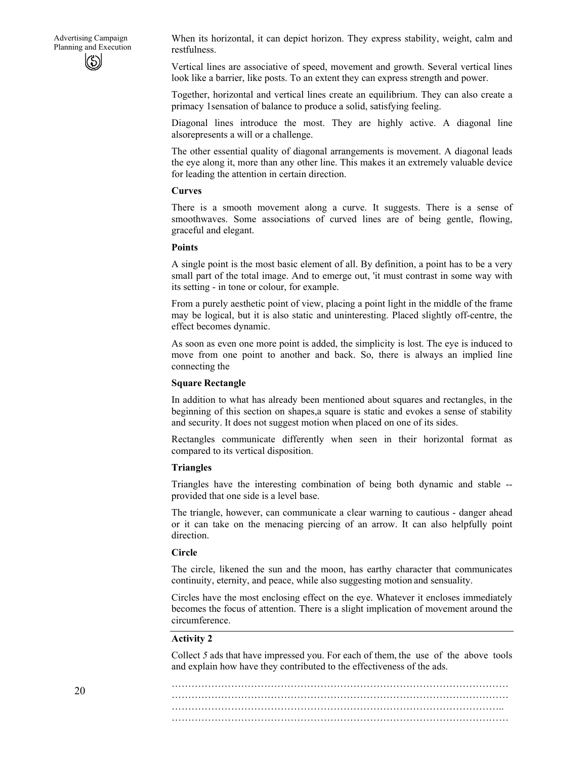When its horizontal, it can depict horizon. They express stability, weight, calm and restfulness.

Vertical lines are associative of speed, movement and growth. Several vertical lines look like a barrier, like posts. To an extent they can express strength and power.

Together, horizontal and vertical lines create an equilibrium. They can also create a primacy 1sensation of balance to produce a solid, satisfying feeling.

Diagonal lines introduce the most. They are highly active. A diagonal line alsorepresents a will or a challenge.

The other essential quality of diagonal arrangements is movement. A diagonal leads the eye along it, more than any other line. This makes it an extremely valuable device for leading the attention in certain direction.

### **Curves**

There is a smooth movement along a curve. It suggests. There is a sense of smoothwaves. Some associations of curved lines are of being gentle, flowing, graceful and elegant.

#### **Points**

A single point is the most basic element of all. By definition, a point has to be a very small part of the total image. And to emerge out, 'it must contrast in some way with its setting - in tone or colour, for example.

From a purely aesthetic point of view, placing a point light in the middle of the frame may be logical, but it is also static and uninteresting. Placed slightly off-centre, the effect becomes dynamic.

As soon as even one more point is added, the simplicity is lost. The eye is induced to move from one point to another and back. So, there is always an implied line connecting the

#### **Square Rectangle**

In addition to what has already been mentioned about squares and rectangles, in the beginning of this section on shapes,a square is static and evokes a sense of stability and security. It does not suggest motion when placed on one of its sides.

Rectangles communicate differently when seen in their horizontal format as compared to its vertical disposition.

#### **Triangles**

Triangles have the interesting combination of being both dynamic and stable - provided that one side is a level base.

The triangle, however, can communicate a clear warning to cautious - danger ahead or it can take on the menacing piercing of an arrow. It can also helpfully point direction.

#### **Circle**

The circle, likened the sun and the moon, has earthy character that communicates continuity, eternity, and peace, while also suggesting motion and sensuality.

Circles have the most enclosing effect on the eye. Whatever it encloses immediately becomes the focus of attention. There is a slight implication of movement around the circumference.

#### **Activity 2**

Collect *5* ads that have impressed you. For each of them, the use of the above tools and explain how have they contributed to the effectiveness of the ads.

………………………………………………………………………………………… ………………………………………………………………………………………… ……………………………………………………………………………………….. …………………………………………………………………………………………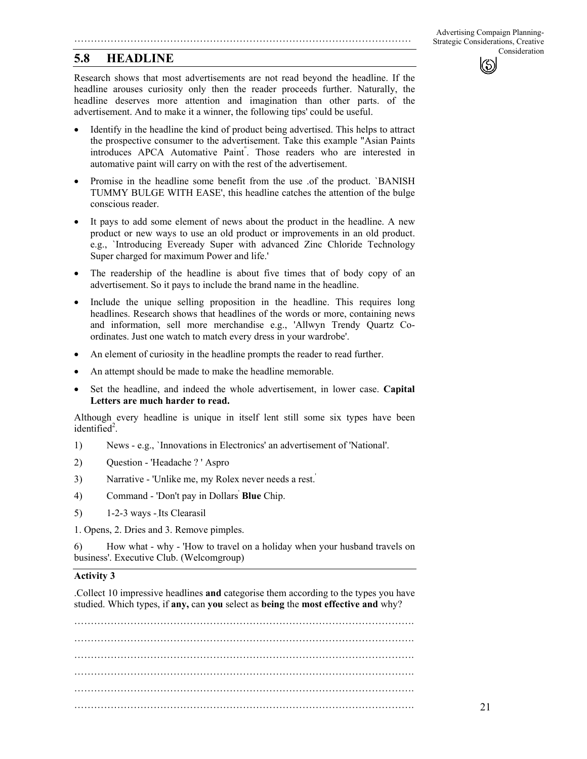# **5.8 HEADLINE**

Research shows that most advertisements are not read beyond the headline. If the headline arouses curiosity only then the reader proceeds further. Naturally, the headline deserves more attention and imagination than other parts. of the advertisement. And to make it a winner, the following tips' could be useful.

…………………………………………………………………………………………

- Identify in the headline the kind of product being advertised. This helps to attract the prospective consumer to the advertisement. Take this example "Asian Paints introduces APCA Automative Paint" . Those readers who are interested in automative paint will carry on with the rest of the advertisement.
- Promise in the headline some benefit from the use of the product. `BANISH TUMMY BULGE WITH EASE', this headline catches the attention of the bulge conscious reader.
- It pays to add some element of news about the product in the headline. A new product or new ways to use an old product or improvements in an old product. e.g., `Introducing Eveready Super with advanced Zinc Chloride Technology Super charged for maximum Power and life.'
- The readership of the headline is about five times that of body copy of an advertisement. So it pays to include the brand name in the headline.
- Include the unique selling proposition in the headline. This requires long headlines. Research shows that headlines of the words or more, containing news and information, sell more merchandise e.g., 'Allwyn Trendy Quartz Coordinates. Just one watch to match every dress in your wardrobe'.
- An element of curiosity in the headline prompts the reader to read further.
- An attempt should be made to make the headline memorable.
- Set the headline, and indeed the whole advertisement, in lower case. **Capital Letters are much harder to read.**

Although every headline is unique in itself lent still some six types have been identified<sup>2</sup>.

- 1) News e.g., `Innovations in Electronics' an advertisement of 'National'.
- 2) Question 'Headache ? ' Aspro
- 3) Narrative 'Unlike me, my Rolex never needs a rest.'
- 4) Command 'Don't pay in Dollars' **Blue** Chip.
- $1-2-3$  ways Its Clearasil

1. Opens, 2. Dries and 3. Remove pimples.

6) How what - why - 'How to travel on a holiday when your husband travels on business'. Executive Club. (Welcomgroup)

### **Activity 3**

.Collect 10 impressive headlines **and** categorise them according to the types you have studied. Which types, if **any,** can **you** select as **being** the **most effective and** why?

…………………………………………………………………………………………. …………………………………………………………………………………………. ………………………………………………………………………………………….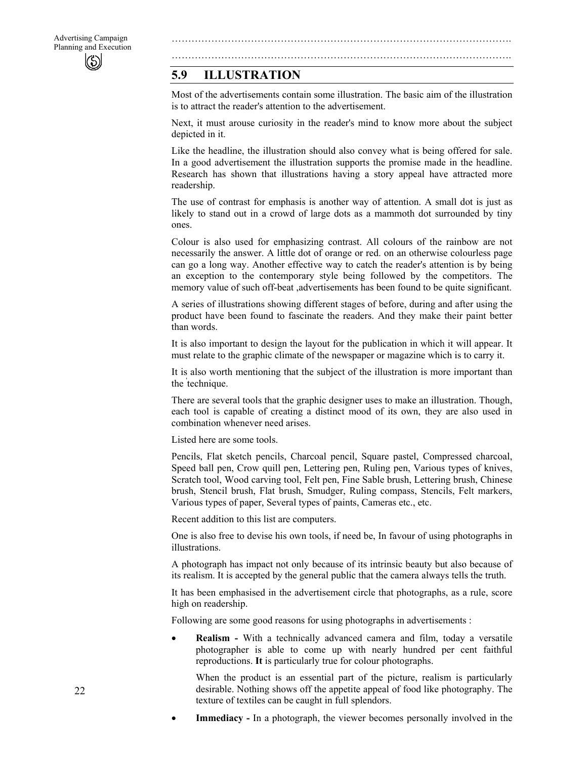### **5.9 ILLUSTRATION**

Most of the advertisements contain some illustration. The basic aim of the illustration is to attract the reader's attention to the advertisement.

…………………………………………………………………………………………. ………………………………………………………………………………………….

Next, it must arouse curiosity in the reader's mind to know more about the subject depicted in it.

Like the headline, the illustration should also convey what is being offered for sale. In a good advertisement the illustration supports the promise made in the headline. Research has shown that illustrations having a story appeal have attracted more readership.

The use of contrast for emphasis is another way of attention. A small dot is just as likely to stand out in a crowd of large dots as a mammoth dot surrounded by tiny ones.

Colour is also used for emphasizing contrast. All colours of the rainbow are not necessarily the answer. A little dot of orange or red. on an otherwise colourless page can go a long way. Another effective way to catch the reader's attention is by being an exception to the contemporary style being followed by the competitors. The memory value of such off-beat ,advertisements has been found to be quite significant.

A series of illustrations showing different stages of before, during and after using the product have been found to fascinate the readers. And they make their paint better than words.

It is also important to design the layout for the publication in which it will appear. It must relate to the graphic climate of the newspaper or magazine which is to carry it.

It is also worth mentioning that the subject of the illustration is more important than the ' technique.

There are several tools that the graphic designer uses to make an illustration. Though, each tool is capable of creating a distinct mood of its own, they are also used in combination whenever need arises.

Listed here are some tools.

Pencils, Flat sketch pencils, Charcoal pencil, Square pastel, Compressed charcoal, Speed ball pen, Crow quill pen, Lettering pen, Ruling pen, Various types of knives, Scratch tool, Wood carving tool, Felt pen, Fine Sable brush, Lettering brush, Chinese brush, Stencil brush, Flat brush, Smudger, Ruling compass, Stencils, Felt markers, Various types of paper, Several types of paints, Cameras etc., etc.

Recent addition to this list are computers.

One is also free to devise his own tools, if need be, In favour of using photographs in illustrations.

A photograph has impact not only because of its intrinsic beauty but also because of its realism. It is accepted by the general public that the camera always tells the truth.

It has been emphasised in the advertisement circle that photographs, as a rule, score high on readership.

Following are some good reasons for using photographs in advertisements :

• **Realism -** With a technically advanced camera and film, today a versatile photographer is able to come up with nearly hundred per cent faithful reproductions. **It** is particularly true for colour photographs.

 When the product is an essential part of the picture, realism is particularly desirable. Nothing shows off the appetite appeal of food like photography. The texture of textiles can be caught in full splendors.

• **Immediacy** - In a photograph, the viewer becomes personally involved in the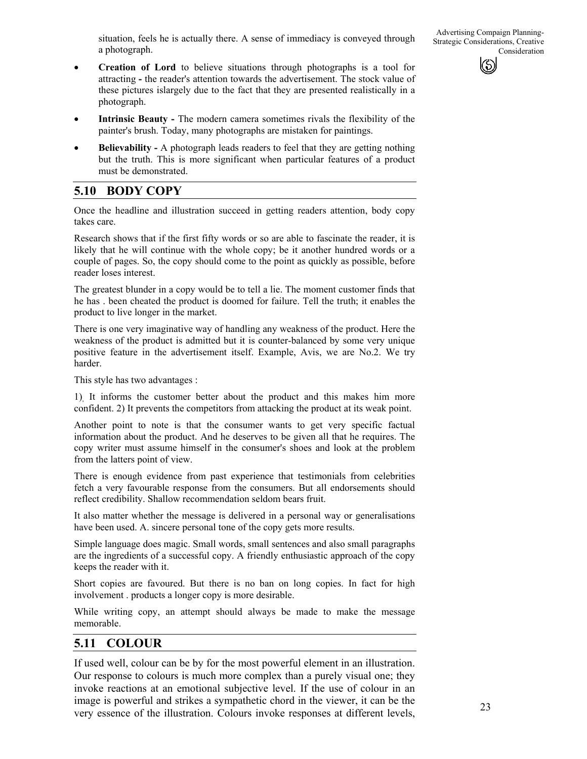KS)

- **Creation of Lord** to believe situations through photographs is a tool for attracting **-** the reader's attention towards the advertisement. The stock value of these pictures islargely due to the fact that they are presented realistically in a photograph.
- **Intrinsic Beauty** The modern camera sometimes rivals the flexibility of the painter's brush. Today, many photographs are mistaken for paintings.
- **Believability** A photograph leads readers to feel that they are getting nothing but the truth. This is more significant when particular features of a product must be demonstrated.

# **5.10 BODY COPY**

Once the headline and illustration succeed in getting readers attention, body copy takes care.

Research shows that if the first fifty words or so are able to fascinate the reader, it is likely that he will continue with the whole copy; be it another hundred words or a couple of pages. So, the copy should come to the point as quickly as possible, before reader loses interest.

The greatest blunder in a copy would be to tell a lie. The moment customer finds that he has . been cheated the product is doomed for failure. Tell the truth; it enables the product to live longer in the market.

There is one very imaginative way of handling any weakness of the product. Here the weakness of the product is admitted but it is counter-balanced by some very unique positive feature in the advertisement itself. Example, Avis, we are No.2. We try harder.

This style has two advantages :

1), It informs the customer better about the product and this makes him more confident. 2) It prevents the competitors from attacking the product at its weak point.

Another point to note is that the consumer wants to get very specific factual information about the product. And he deserves to be given all that he requires. The copy writer must assume himself in the consumer's shoes and look at the problem from the latters point of view.

There is enough evidence from past experience that testimonials from celebrities fetch a very favourable response from the consumers. But all endorsements should reflect credibility. Shallow recommendation seldom bears fruit.

It also matter whether the message is delivered in a personal way or generalisations have been used. A. sincere personal tone of the copy gets more results.

Simple language does magic. Small words, small sentences and also small paragraphs are the ingredients of a successful copy. A friendly enthusiastic approach of the copy keeps the reader with it.

Short copies are favoured. But there is no ban on long copies. In fact for high involvement . products a longer copy is more desirable.

While writing copy, an attempt should always be made to make the message memorable.

# **5.11 COLOUR**

If used well, colour can be by for the most powerful element in an illustration. Our response to colours is much more complex than a purely visual one; they invoke reactions at an emotional subjective level. If the use of colour in an image is powerful and strikes a sympathetic chord in the viewer, it can be the very essence of the illustration. Colours invoke responses at different levels,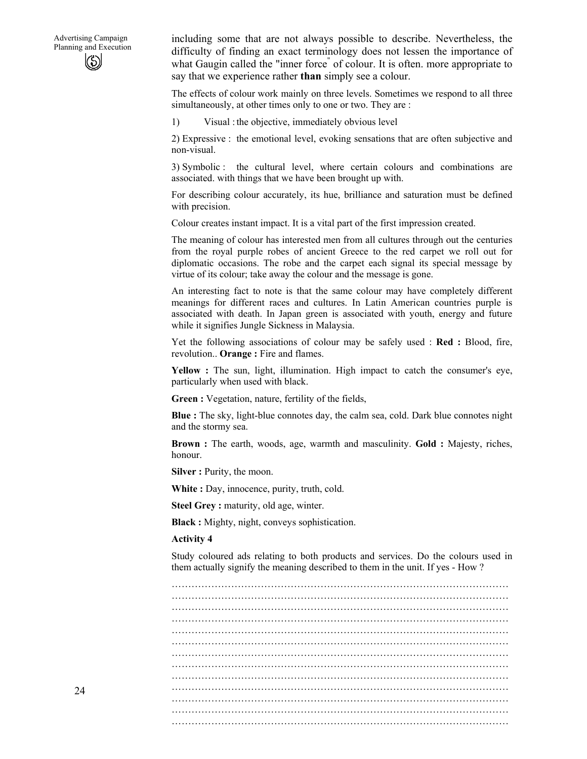Advertising Campaign including some that are not always possible to describe. Nevertheless, the Planning and Execution difficulture of finding an event terminology does not leasen the importance of difficulty of finding an exact terminology does not lessen the importance of what Gaugin called the "inner force" of colour. It is often. more appropriate to say that we experience rather **than** simply see a colour.

> The effects of colour work mainly on three levels. Sometimes we respond to all three simultaneously, at other times only to one or two. They are :

1) Visual : the objective, immediately obvious level

2) Expressive : the emotional level, evoking sensations that are often subjective and non-visual.

3) Symbolic : the cultural level, where certain colours and combinations are associated. with things that we have been brought up with.

For describing colour accurately, its hue, brilliance and saturation must be defined with precision.

Colour creates instant impact. It is a vital part of the first impression created.

The meaning of colour has interested men from all cultures through out the centuries from the royal purple robes of ancient Greece to the red carpet we roll out for diplomatic occasions. The robe and the carpet each signal its special message by virtue of its colour; take away the colour and the message is gone.

An interesting fact to note is that the same colour may have completely different meanings for different races and cultures. In Latin American countries purple is associated with death. In Japan green is associated with youth, energy and future while it signifies Jungle Sickness in Malaysia.

Yet the following associations of colour may be safely used : **Red :** Blood, fire, revolution.. **Orange :** Fire and flames.

**Yellow :** The sun, light, illumination. High impact to catch the consumer's eye, particularly when used with black.

**Green :** Vegetation, nature, fertility of the fields,

**Blue :** The sky, light-blue connotes day, the calm sea, cold. Dark blue connotes night and the stormy sea.

**Brown :** The earth, woods, age, warmth and masculinity. **Gold :** Majesty, riches, honour.

**Silver : Purity, the moon.** 

**White :** Day, innocence, purity, truth, cold.

Steel Grey : maturity, old age, winter.

**Black :** Mighty, night, conveys sophistication.

#### **Activity 4**

Study coloured ads relating to both products and services. Do the colours used in them actually signify the meaning described to them in the unit. If yes - How ?

………………………………………………………………………………………… ………………………………………………………………………………………… ………………………………………………………………………………………… ………………………………………………………………………………………… ………………………………………………………………………………………… ………………………………………………………………………………………… ………………………………………………………………………………………… ………………………………………………………………………………………… ………………………………………………………………………………………… …………………………………………………………………………………………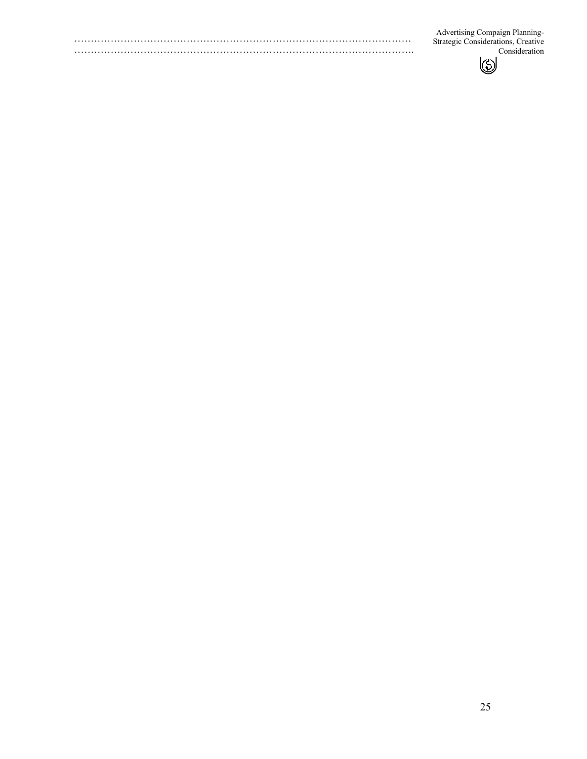| <b>Advertising Compaign Planning-</b> |
|---------------------------------------|
| Strategic Considerations, Creative    |
| Consideration                         |
|                                       |

25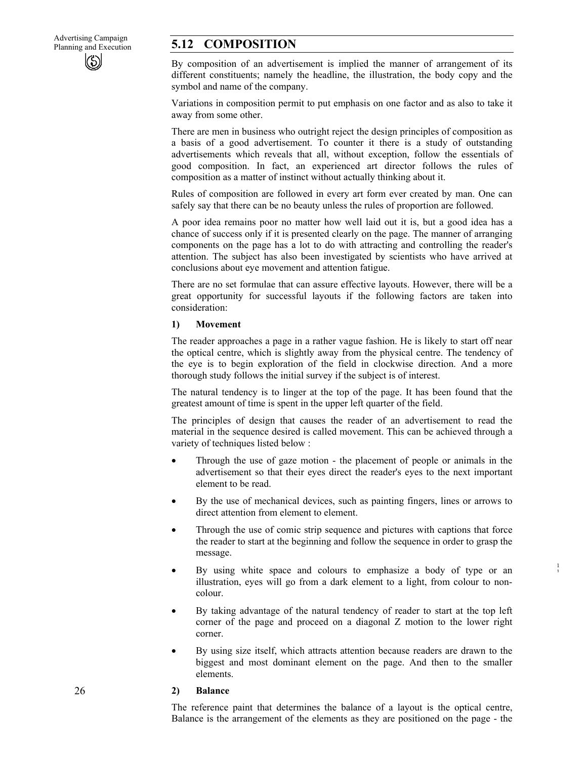# Planning and Execution **5.12 COMPOSITION**

By composition of an advertisement is implied the manner of arrangement of its different constituents; namely the headline, the illustration, the body copy and the symbol and name of the company.

Variations in composition permit to put emphasis on one factor and as also to take it away from some other.

There are men in business who outright reject the design principles of composition as a basis of a good advertisement. To counter it there is a study of outstanding advertisements which reveals that all, without exception, follow the essentials of good composition. In fact, an experienced art director follows the rules of composition as a matter of instinct without actually thinking about it.

Rules of composition are followed in every art form ever created by man. One can safely say that there can be no beauty unless the rules of proportion are followed.

A poor idea remains poor no matter how well laid out it is, but a good idea has a chance of success only if it is presented clearly on the page. The manner of arranging components on the page has a lot to do with attracting and controlling the reader's attention. The subject has also been investigated by scientists who have arrived at conclusions about eye movement and attention fatigue.

There are no set formulae that can assure effective layouts. However, there will be a great opportunity for successful layouts if the following factors are taken into consideration:

### **1) Movement**

The reader approaches a page in a rather vague fashion. He is likely to start off near the optical centre, which is slightly away from the physical centre. The tendency of the eye is to begin exploration of the field in clockwise direction. And a more thorough study follows the initial survey if the subject is of interest.

The natural tendency is to linger at the top of the page. It has been found that the greatest amount of time is spent in the upper left quarter of the field.

The principles of design that causes the reader of an advertisement to read the material in the sequence desired is called movement. This can be achieved through a variety of techniques listed below :

- Through the use of gaze motion the placement of people or animals in the advertisement so that their eyes direct the reader's eyes to the next important element to be read.
- By the use of mechanical devices, such as painting fingers, lines or arrows to direct attention from element to element.
- Through the use of comic strip sequence and pictures with captions that force the reader to start at the beginning and follow the sequence in order to grasp the message.
- By using white space and colours to emphasize a body of type or an illustration, eyes will go from a dark element to a light, from colour to noncolour.

1 1

- By taking advantage of the natural tendency of reader to start at the top left corner of the page and proceed on a diagonal Z motion to the lower right corner.
- By using size itself, which attracts attention because readers are drawn to the biggest and most dominant element on the page. And then to the smaller elements.

#### **2) Balance**

The reference paint that determines the balance of a layout is the optical centre, Balance is the arrangement of the elements as they are positioned on the page - the

26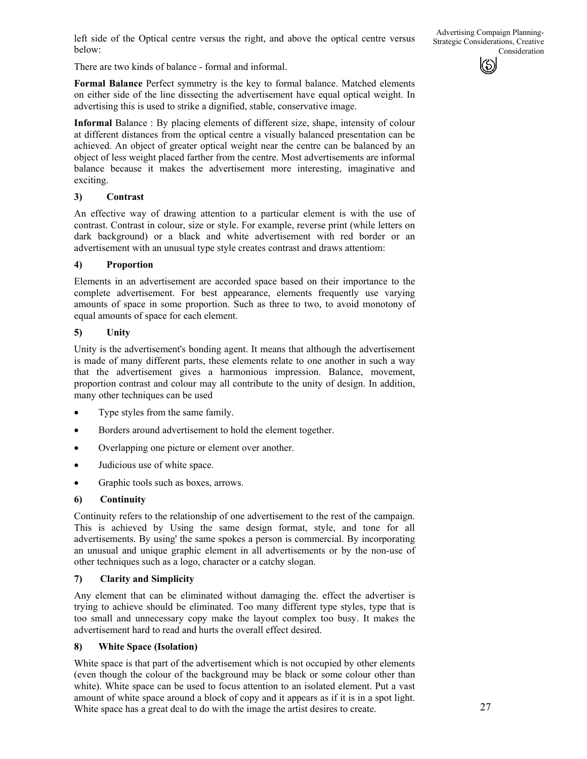left side of the Optical centre versus the right, and above the optical centre versus below:

There are two kinds of balance - formal and informal.

**Formal Balance** Perfect symmetry is the key to formal balance. Matched elements on either side of the line dissecting the advertisement have equal optical weight. In advertising this is used to strike a dignified, stable, conservative image.

**Informal** Balance : By placing elements of different size, shape, intensity of colour at different distances from the optical centre a visually balanced presentation can be achieved. An object of greater optical weight near the centre can be balanced by an object of less weight placed farther from the centre. Most advertisements are informal balance because it makes the advertisement more interesting, imaginative and exciting.

### **3) Contrast**

An effective way of drawing attention to a particular element is with the use of contrast. Contrast in colour, size or style. For example, reverse print (while letters on dark background) or a black and white advertisement with red border or an advertisement with an unusual type style creates contrast and draws attentiom:

#### **4) Proportion**

Elements in an advertisement are accorded space based on their importance to the complete advertisement. For best appearance, elements frequently use varying amounts of space in some proportion. Such as three to two, to avoid monotony of equal amounts of space for each element.

### **5) Unity**

Unity is the advertisement's bonding agent. It means that although the advertisement is made of many different parts, these elements relate to one another in such a way that the advertisement gives a harmonious impression. Balance, movement, proportion contrast and colour may all contribute to the unity of design. In addition, many other techniques can be used

- Type styles from the same family.
- Borders around advertisement to hold the element together.
- Overlapping one picture or element over another.
- Judicious use of white space.
- Graphic tools such as boxes, arrows.

#### **6) Continuity**

Continuity refers to the relationship of one advertisement to the rest of the campaign. This is achieved by Using the same design format, style, and tone for all advertisements. By using' the same spokes a person is commercial. By incorporating an unusual and unique graphic element in all advertisements or by the non-use of other techniques such as a logo, character or a catchy slogan.

#### **7) Clarity and Simplicity**

Any element that can be eliminated without damaging the. effect the advertiser is trying to achieve should be eliminated. Too many different type styles, type that is too small and unnecessary copy make the layout complex too busy. It makes the advertisement hard to read and hurts the overall effect desired.

#### **8) White Space (Isolation)**

White space is that part of the advertisement which is not occupied by other elements (even though the colour of the background may be black or some colour other than white). White space can be used to focus attention to an isolated element. Put a vast amount of white space around a block of copy and it appears as if it is in a spot light. White space has a great deal to do with the image the artist desires to create.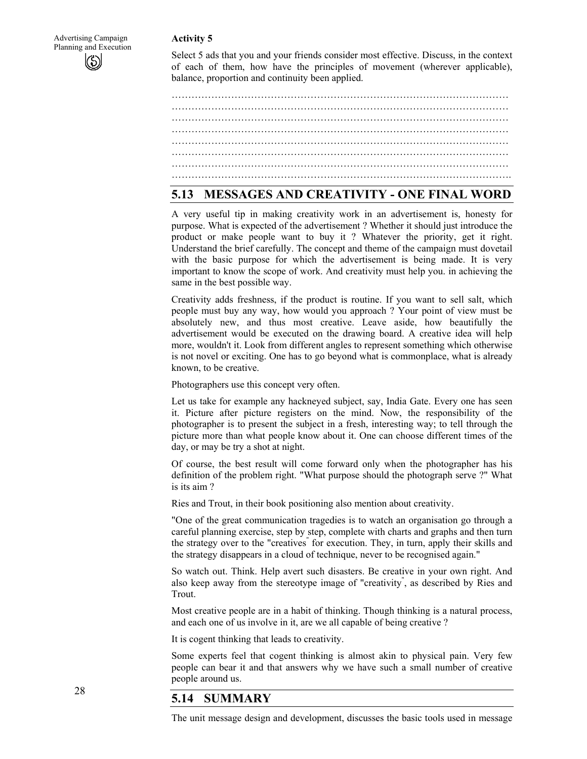#### **Activity 5**

Advertising Campaign Planning and Execution

Select 5 ads that you and your friends consider most effective. Discuss, in the context of each of them, how have the principles of movement (wherever applicable), balance, proportion and continuity been applied.



A very useful tip in making creativity work in an advertisement is, honesty for purpose. What is expected of the advertisement ? Whether it should just introduce the product or make people want to buy it ? Whatever the priority, get it right. Understand the brief carefully. The concept and theme of the campaign must dovetail with the basic purpose for which the advertisement is being made. It is very important to know the scope of work. And creativity must help you. in achieving the same in the best possible way.

### Creativity adds freshness, if the product is routine. If you want to sell salt, which people must buy any way, how would you approach ? Your point of view must be absolutely new, and thus most creative. Leave aside, how beautifully the advertisement would be executed on the drawing board. A creative idea will help more, wouldn't it. Look from different angles to represent something which otherwise is not novel or exciting. One has to go beyond what is commonplace, what is already known, to be creative.

Photographers use this concept very often.

Let us take for example any hackneyed subject, say, India Gate. Every one has seen it. Picture after picture registers on the mind. Now, the responsibility of the photographer is to present the subject in a fresh, interesting way; to tell through the picture more than what people know about it. One can choose different times of the day, or may be try a shot at night.

Of course, the best result will come forward only when the photographer has his definition of the problem right. "What purpose should the photograph serve ?" What is its aim ?

Ries and Trout, in their book positioning also mention about creativity.

"One of the great communication tragedies is to watch an organisation go through a careful planning exercise, step by step, complete with charts and graphs and then turn the strategy over to the "creatives" for execution. They, in turn, apply their skills and the strategy disappears in a cloud of technique, never to be recognised again."

So watch out. Think. Help avert such disasters. Be creative in your own right. And also keep away from the stereotype image of "creativity" , as described by Ries and Trout.

Most creative people are in a habit of thinking. Though thinking is a natural process, and each one of us involve in it, are we all capable of being creative ?

It is cogent thinking that leads to creativity.

Some experts feel that cogent thinking is almost akin to physical pain. Very few people can bear it and that answers why we have such a small number of creative people around us.

### **5.14 SUMMARY**

The unit message design and development, discusses the basic tools used in message